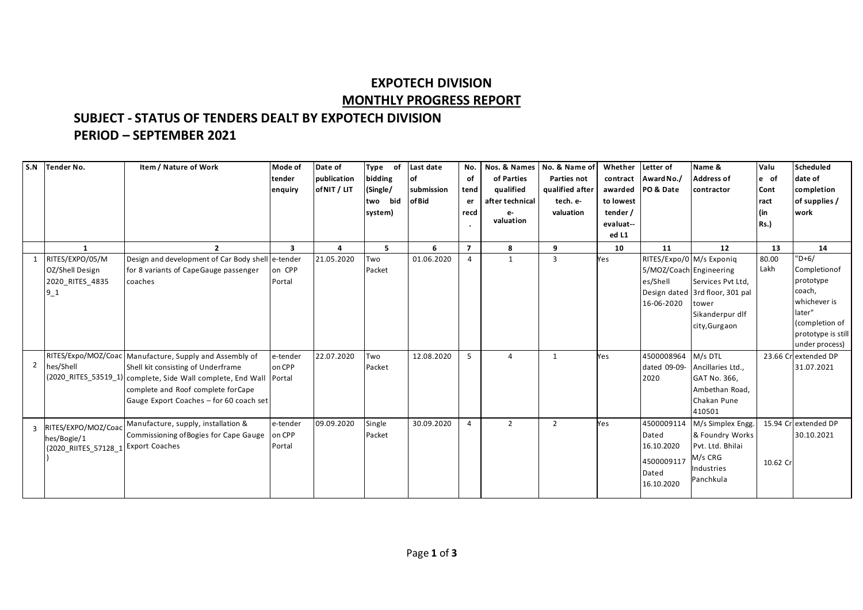## **EXPOTECH DIVISION MONTHLY PROGRESS REPORT**

## **SUBJECT - STATUS OF TENDERS DEALT BY EXPOTECH DIVISION PERIOD – SEPTEMBER 2021**

| S.N            | <b>Tender No.</b>    | Item / Nature of Work                                                | Mode of                 | Date of      | <b>Type</b><br>of | Last date  | No.            | Nos. & Names    | No. & Name of   | Whether   | Letter of               | Name &                          | Valu     | Scheduled           |
|----------------|----------------------|----------------------------------------------------------------------|-------------------------|--------------|-------------------|------------|----------------|-----------------|-----------------|-----------|-------------------------|---------------------------------|----------|---------------------|
|                |                      |                                                                      | tender                  | publication  | bidding           | of         | of             | of Parties      | Parties not     |           | contract Award No./     | <b>Address of</b>               | le of    | date of             |
|                |                      |                                                                      | enquiry                 | of NIT / LIT | (Single/          | submission | tend           | qualified       | qualified after |           | awarded PO & Date       | contractor                      | Cont     | completion          |
|                |                      |                                                                      |                         |              | two bid           | of Bid     | er             | after technical | tech. e-        | to lowest |                         |                                 | ract     | of supplies /       |
|                |                      |                                                                      |                         |              | system)           |            | recd           | $e-$            | valuation       | tender /  |                         |                                 | (in      | work                |
|                |                      |                                                                      |                         |              |                   |            | $\bullet$      | valuation       |                 | evaluat-- |                         |                                 | Rs.      |                     |
|                |                      |                                                                      |                         |              |                   |            |                |                 |                 | ed L1     |                         |                                 |          |                     |
|                | $\mathbf{1}$         | $\overline{2}$                                                       | $\overline{\mathbf{3}}$ | $\Delta$     | 5                 | 6          | $\overline{7}$ | 8               | 9               | 10        | 11                      | 12                              | 13       | 14                  |
| 1              | RITES/EXPO/05/M      | Design and development of Car Body shell e-tender                    |                         | 21.05.2020   | Two               | 01.06.2020 | $\overline{a}$ | 1               | 3               | Yes       |                         | RITES/Expo/0 M/s Exponiq        | 80.00    | $"D+6/$             |
|                | OZ/Shell Design      | for 8 variants of CapeGauge passenger                                | on CPP                  |              | Packet            |            |                |                 |                 |           | 5/MOZ/Coach Engineering |                                 | Lakh     | Completionof        |
|                | 2020 RITES 4835      | coaches                                                              | Portal                  |              |                   |            |                |                 |                 |           | es/Shell                | Services Pvt Ltd,               |          | prototype           |
|                | $9-1$                |                                                                      |                         |              |                   |            |                |                 |                 |           |                         | Design dated 3rd floor, 301 pal |          | coach,              |
|                |                      |                                                                      |                         |              |                   |            |                |                 |                 |           | 16-06-2020              | tower                           |          | whichever is        |
|                |                      |                                                                      |                         |              |                   |            |                |                 |                 |           |                         | Sikanderpur dlf                 |          | later"              |
|                |                      |                                                                      |                         |              |                   |            |                |                 |                 |           |                         | city, Gurgaon                   |          | (completion of      |
|                |                      |                                                                      |                         |              |                   |            |                |                 |                 |           |                         |                                 |          | prototype is still  |
|                |                      |                                                                      |                         |              |                   |            |                |                 |                 |           |                         |                                 |          | under process)      |
|                |                      | RITES/Expo/MOZ/Coac Manufacture, Supply and Assembly of              | e-tender                | 22.07.2020   | Two               | 12.08.2020 | 5              | Δ               | 1               | Yes       | 4500008964              | M/s DTL                         |          | 23.66 Crextended DP |
| $\overline{2}$ | hes/Shell            | Shell kit consisting of Underframe                                   | on CPP                  |              | Packet            |            |                |                 |                 |           | dated 09-09-            | Ancillaries Ltd.,               |          | 31.07.2021          |
|                |                      | (2020_RITES_53519_1) complete, Side Wall complete, End Wall   Portal |                         |              |                   |            |                |                 |                 |           | 2020                    | GAT No. 366,                    |          |                     |
|                |                      | complete and Roof complete forCape                                   |                         |              |                   |            |                |                 |                 |           |                         | Ambethan Road,                  |          |                     |
|                |                      | Gauge Export Coaches - for 60 coach set                              |                         |              |                   |            |                |                 |                 |           |                         | Chakan Pune                     |          |                     |
|                |                      |                                                                      |                         |              |                   |            |                |                 |                 |           |                         | 410501                          |          |                     |
| 3              | RITES/EXPO/MOZ/Coac  | Manufacture, supply, installation &                                  | e-tender                | 09.09.2020   | Single            | 30.09.2020 | $\overline{4}$ | $\mathcal{P}$   | $\overline{2}$  | Yes       | 4500009114              | M/s Simplex Engg.               | 15.94 Cr | extended DP         |
|                | hes/Bogie/1          | Commissioning of Bogies for Cape Gauge on CPP                        |                         |              | Packet            |            |                |                 |                 |           | Dated                   | & Foundry Works                 |          | 30.10.2021          |
|                | (2020 RIITES 57128 1 | <b>Export Coaches</b>                                                | Portal                  |              |                   |            |                |                 |                 |           | 16.10.2020              | Pvt. Ltd. Bhilai                |          |                     |
|                |                      |                                                                      |                         |              |                   |            |                |                 |                 |           | 4500009117              | M/s CRG                         |          |                     |
|                |                      |                                                                      |                         |              |                   |            |                |                 |                 |           |                         | Industries                      | 10.62 Cr |                     |
|                |                      |                                                                      |                         |              |                   |            |                |                 |                 |           | Dated                   | Panchkula                       |          |                     |
|                |                      |                                                                      |                         |              |                   |            |                |                 |                 |           | 16.10.2020              |                                 |          |                     |
|                |                      |                                                                      |                         |              |                   |            |                |                 |                 |           |                         |                                 |          |                     |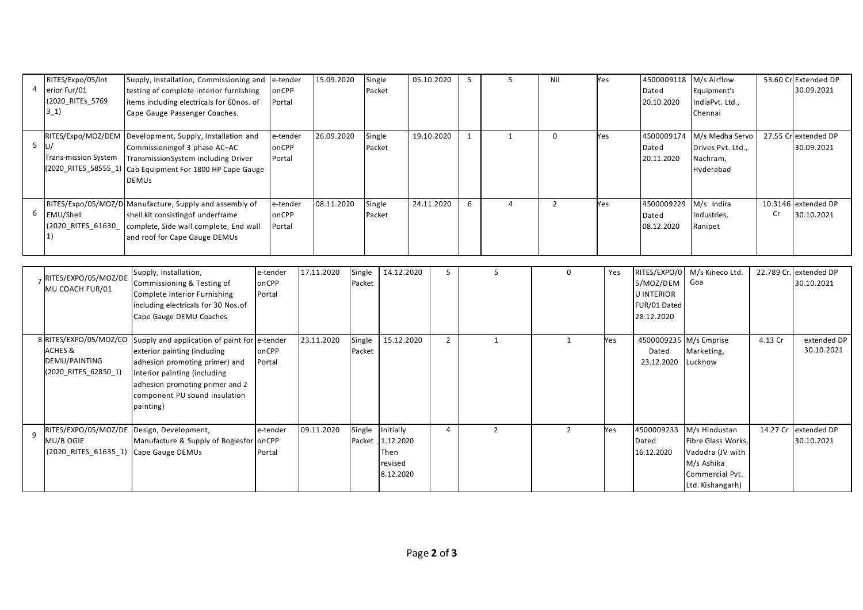| RITES/Expo/05/Int<br>4 erior Fur/01 | Supply, Installation, Commissioning and<br>testing of complete interior furnishing                                                                                                                                | ' e-tender<br>onCPP         | 15.09.2020 | Single<br>Packet | 05.10.2020 |  | Nil | Yes | 4500009118<br>Dated               | M/s Airflow<br>Equipment's                                    |    | 53.60 Cr Extended DP<br>30.09.2021 |
|-------------------------------------|-------------------------------------------------------------------------------------------------------------------------------------------------------------------------------------------------------------------|-----------------------------|------------|------------------|------------|--|-----|-----|-----------------------------------|---------------------------------------------------------------|----|------------------------------------|
| (2020 RITEs 5769)<br>$3_{-1}$ )     | items including electricals for 60nos. of<br>Cape Gauge Passenger Coaches.                                                                                                                                        | Portal                      |            |                  |            |  |     |     | 20.10.2020                        | IndiaPvt. Ltd.,<br>Chennai                                    |    |                                    |
| - IU/<br>Trans-mission System       | RITES/Expo/MOZ/DEM   Development, Supply, Installation and<br>Commissioning of 3 phase AC-AC<br>Transmission System including Driver<br>(2020_RITES_58555_1) Cab Equipment For 1800 HP Cape Gauge<br><b>DEMUS</b> | e-tender<br>onCPP<br>Portal | 26.09.2020 | Single<br>Packet | 19.10.2020 |  | 0   | Yes | 4500009174<br>Dated<br>20.11.2020 | M/s Medha Servo<br>Drives Pvt. Ltd.,<br>Nachram,<br>Hyderabad |    | 27.55 Cr extended DP<br>30.09.2021 |
| 6 EMU/Shell                         | RITES/Expo/05/MOZ/D Manufacture, Supply and assembly of<br>shell kit consisting of underframe<br>(2020_RITES_61630_  complete, Side wall complete, End wall<br>and roof for Cape Gauge DEMUs                      | e-tender<br>onCPP<br>Portal | 08.11.2020 | Single<br>Packet | 24.11.2020 |  |     | Yes | 4500009229<br>Dated<br>08.12.2020 | M/s Indira<br>Industries,<br>Ranipet                          | Cr | 10.3146 extended DP<br>30.10.2021  |

|              | RITES/EXPO/05/MOZ/DE<br>MU COACH FUR/01                                               | Supply, Installation,<br>Commissioning & Testing of<br>Complete Interior Furnishing<br>including electricals for 30 Nos. of<br>Cape Gauge DEMU Coaches                                                                          | e-tender<br>onCPP<br>Portal | 17.11.2020 | Single<br>Packet | 14.12.2020                                                    |                |                | Yes | RITES/EXPO/0<br>5/MOZ/DEM<br><b>UINTERIOR</b><br>FUR/01 Dated<br>28.12.2020 | M/s Kineco Ltd.<br>Goa                                                                                       | 22.789 Cr. | extended DP<br>30.10.2021 |
|--------------|---------------------------------------------------------------------------------------|---------------------------------------------------------------------------------------------------------------------------------------------------------------------------------------------------------------------------------|-----------------------------|------------|------------------|---------------------------------------------------------------|----------------|----------------|-----|-----------------------------------------------------------------------------|--------------------------------------------------------------------------------------------------------------|------------|---------------------------|
|              | 8 RITES/EXPO/05/MOZ/CO<br><b>ACHES &amp;</b><br>DEMU/PAINTING<br>(2020_RITES_62850_1) | Supply and application of paint for e-tender<br>exterior painting (including<br>adhesion promoting primer) and<br>interior painting (including<br>adhesion promoting primer and 2<br>component PU sound insulation<br>painting) | onCPP<br>Portal             | 23.11.2020 | Single<br>Packet | 15.12.2020                                                    | $\overline{2}$ |                | Yes | 4500009235 M/s Emprise<br>Dated<br>23.12.2020                               | Marketing,<br>Lucknow                                                                                        | 4.13 Cr    | extended DP<br>30.10.2021 |
| $\mathbf{q}$ | RITES/EXPO/05/MOZ/DE Design, Development,<br>MU/B OGIE<br>$(2020$ RITES 61635 1)      | Manufacture & Supply of Bogiesfor on CPP<br>Cape Gauge DEMUs                                                                                                                                                                    | e-tender<br>Portal          | 09.11.2020 | Single           | Initially<br>Packet 1.12.2020<br>Then<br>revised<br>8.12.2020 | 4              | $\overline{z}$ | Yes | 4500009233<br>Dated<br>16.12.2020                                           | M/s Hindustan<br>Fibre Glass Works,<br>Vadodra (JV with<br>M/s Ashika<br>Commercial Pvt.<br>Ltd. Kishangarh) | 14.27 Cr   | extended DP<br>30.10.2021 |